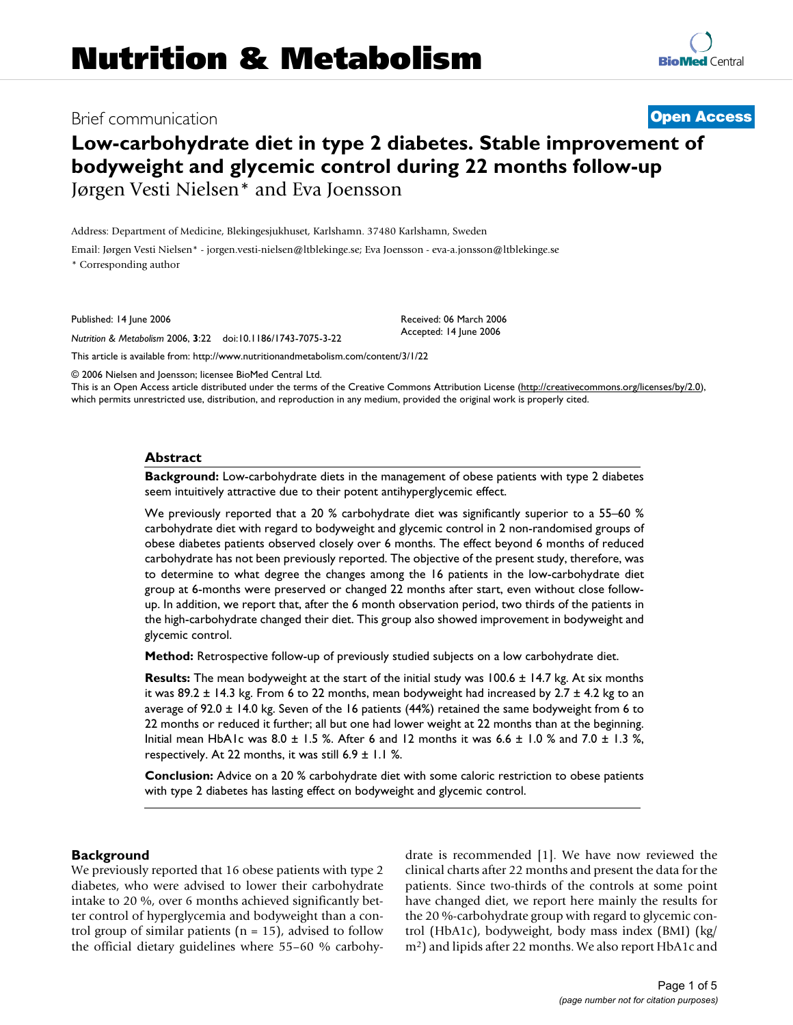# Brief communication **[Open Access](http://www.biomedcentral.com/info/about/charter/)**

# **Low-carbohydrate diet in type 2 diabetes. Stable improvement of bodyweight and glycemic control during 22 months follow-up** Jørgen Vesti Nielsen\* and Eva Joensson

Address: Department of Medicine, Blekingesjukhuset, Karlshamn. 37480 Karlshamn, Sweden

Email: Jørgen Vesti Nielsen\* - jorgen.vesti-nielsen@ltblekinge.se; Eva Joensson - eva-a.jonsson@ltblekinge.se \* Corresponding author

Published: 14 June 2006

*Nutrition & Metabolism* 2006, **3**:22 doi:10.1186/1743-7075-3-22

[This article is available from: http://www.nutritionandmetabolism.com/content/3/1/22](http://www.nutritionandmetabolism.com/content/3/1/22)

© 2006 Nielsen and Joensson; licensee BioMed Central Ltd.

This is an Open Access article distributed under the terms of the Creative Commons Attribution License [\(http://creativecommons.org/licenses/by/2.0\)](http://creativecommons.org/licenses/by/2.0), which permits unrestricted use, distribution, and reproduction in any medium, provided the original work is properly cited.

Received: 06 March 2006 Accepted: 14 June 2006

#### **Abstract**

**Background:** Low-carbohydrate diets in the management of obese patients with type 2 diabetes seem intuitively attractive due to their potent antihyperglycemic effect.

We previously reported that a 20 % carbohydrate diet was significantly superior to a 55–60 % carbohydrate diet with regard to bodyweight and glycemic control in 2 non-randomised groups of obese diabetes patients observed closely over 6 months. The effect beyond 6 months of reduced carbohydrate has not been previously reported. The objective of the present study, therefore, was to determine to what degree the changes among the 16 patients in the low-carbohydrate diet group at 6-months were preserved or changed 22 months after start, even without close followup. In addition, we report that, after the 6 month observation period, two thirds of the patients in the high-carbohydrate changed their diet. This group also showed improvement in bodyweight and glycemic control.

**Method:** Retrospective follow-up of previously studied subjects on a low carbohydrate diet.

**Results:** The mean bodyweight at the start of the initial study was 100.6 ± 14.7 kg. At six months it was  $89.2 \pm 14.3$  kg. From 6 to 22 months, mean bodyweight had increased by  $2.7 \pm 4.2$  kg to an average of 92.0 ± 14.0 kg. Seven of the 16 patients (44%) retained the same bodyweight from 6 to 22 months or reduced it further; all but one had lower weight at 22 months than at the beginning. Initial mean HbA1c was  $8.0 \pm 1.5$  %. After 6 and 12 months it was  $6.6 \pm 1.0$  % and  $7.0 \pm 1.3$  %, respectively. At 22 months, it was still 6.9  $\pm$  1.1 %.

**Conclusion:** Advice on a 20 % carbohydrate diet with some caloric restriction to obese patients with type 2 diabetes has lasting effect on bodyweight and glycemic control.

#### **Background**

We previously reported that 16 obese patients with type 2 diabetes, who were advised to lower their carbohydrate intake to 20 %, over 6 months achieved significantly better control of hyperglycemia and bodyweight than a control group of similar patients ( $n = 15$ ), advised to follow the official dietary guidelines where 55–60 % carbohydrate is recommended [1]. We have now reviewed the clinical charts after 22 months and present the data for the patients. Since two-thirds of the controls at some point have changed diet, we report here mainly the results for the 20 %-carbohydrate group with regard to glycemic control (HbA1c), bodyweight, body mass index (BMI) (kg/ m2) and lipids after 22 months. We also report HbA1c and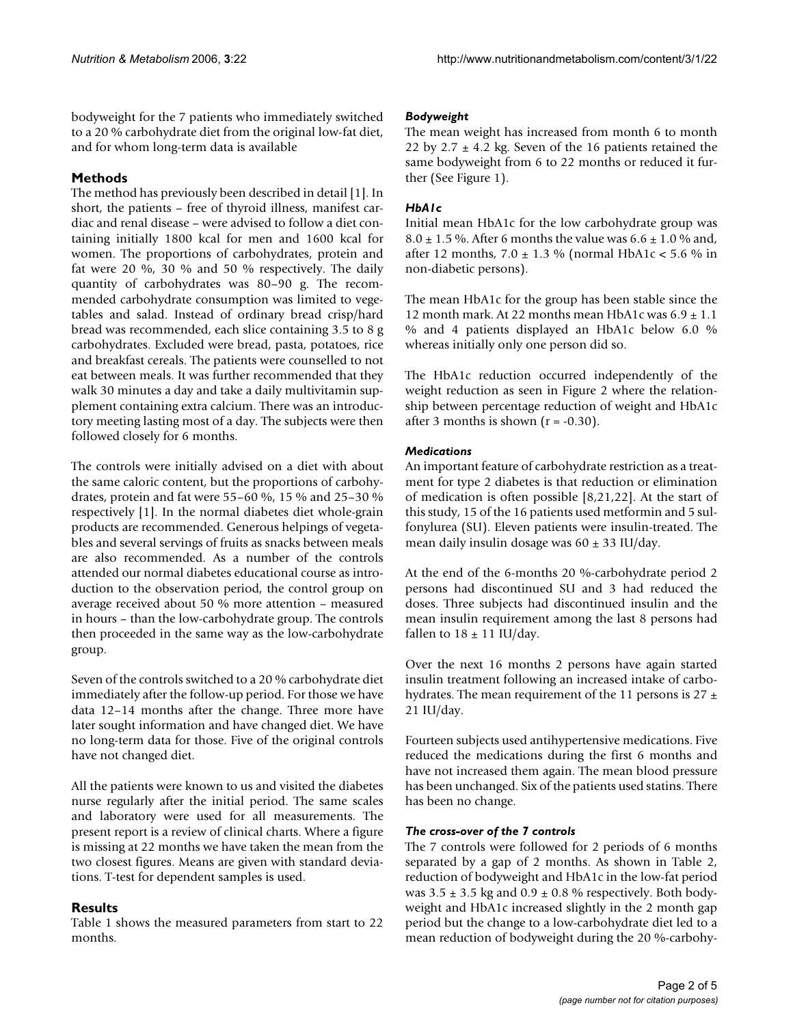bodyweight for the 7 patients who immediately switched to a 20 % carbohydrate diet from the original low-fat diet, and for whom long-term data is available

# **Methods**

The method has previously been described in detail [1]. In short, the patients – free of thyroid illness, manifest cardiac and renal disease – were advised to follow a diet containing initially 1800 kcal for men and 1600 kcal for women. The proportions of carbohydrates, protein and fat were 20 %, 30 % and 50 % respectively. The daily quantity of carbohydrates was 80–90 g. The recommended carbohydrate consumption was limited to vegetables and salad. Instead of ordinary bread crisp/hard bread was recommended, each slice containing 3.5 to 8 g carbohydrates. Excluded were bread, pasta, potatoes, rice and breakfast cereals. The patients were counselled to not eat between meals. It was further recommended that they walk 30 minutes a day and take a daily multivitamin supplement containing extra calcium. There was an introductory meeting lasting most of a day. The subjects were then followed closely for 6 months.

The controls were initially advised on a diet with about the same caloric content, but the proportions of carbohydrates, protein and fat were 55–60 %, 15 % and 25–30 % respectively [1]. In the normal diabetes diet whole-grain products are recommended. Generous helpings of vegetables and several servings of fruits as snacks between meals are also recommended. As a number of the controls attended our normal diabetes educational course as introduction to the observation period, the control group on average received about 50 % more attention – measured in hours – than the low-carbohydrate group. The controls then proceeded in the same way as the low-carbohydrate group.

Seven of the controls switched to a 20 % carbohydrate diet immediately after the follow-up period. For those we have data 12–14 months after the change. Three more have later sought information and have changed diet. We have no long-term data for those. Five of the original controls have not changed diet.

All the patients were known to us and visited the diabetes nurse regularly after the initial period. The same scales and laboratory were used for all measurements. The present report is a review of clinical charts. Where a figure is missing at 22 months we have taken the mean from the two closest figures. Means are given with standard deviations. T-test for dependent samples is used.

# **Results**

Table 1 shows the measured parameters from start to 22 months.

# *Bodyweight*

The mean weight has increased from month 6 to month 22 by 2.7  $\pm$  4.2 kg. Seven of the 16 patients retained the same bodyweight from 6 to 22 months or reduced it further (See Figure 1).

# *HbA1c*

Initial mean HbA1c for the low carbohydrate group was  $8.0 \pm 1.5$  %. After 6 months the value was  $6.6 \pm 1.0$  % and, after 12 months,  $7.0 \pm 1.3$  % (normal HbA1c < 5.6 % in non-diabetic persons).

The mean HbA1c for the group has been stable since the 12 month mark. At 22 months mean HbA1c was  $6.9 \pm 1.1$ % and 4 patients displayed an HbA1c below 6.0 % whereas initially only one person did so.

The HbA1c reduction occurred independently of the weight reduction as seen in Figure 2 where the relationship between percentage reduction of weight and HbA1c after 3 months is shown  $(r = -0.30)$ .

## *Medications*

An important feature of carbohydrate restriction as a treatment for type 2 diabetes is that reduction or elimination of medication is often possible [8,21,22]. At the start of this study, 15 of the 16 patients used metformin and 5 sulfonylurea (SU). Eleven patients were insulin-treated. The mean daily insulin dosage was  $60 \pm 33$  IU/day.

At the end of the 6-months 20 %-carbohydrate period 2 persons had discontinued SU and 3 had reduced the doses. Three subjects had discontinued insulin and the mean insulin requirement among the last 8 persons had fallen to  $18 \pm 11$  IU/day.

Over the next 16 months 2 persons have again started insulin treatment following an increased intake of carbohydrates. The mean requirement of the 11 persons is  $27 \pm$ 21 IU/day.

Fourteen subjects used antihypertensive medications. Five reduced the medications during the first 6 months and have not increased them again. The mean blood pressure has been unchanged. Six of the patients used statins. There has been no change.

## *The cross-over of the 7 controls*

The 7 controls were followed for 2 periods of 6 months separated by a gap of 2 months. As shown in Table 2, reduction of bodyweight and HbA1c in the low-fat period was 3.5  $\pm$  3.5 kg and 0.9  $\pm$  0.8 % respectively. Both bodyweight and HbA1c increased slightly in the 2 month gap period but the change to a low-carbohydrate diet led to a mean reduction of bodyweight during the 20 %-carbohy-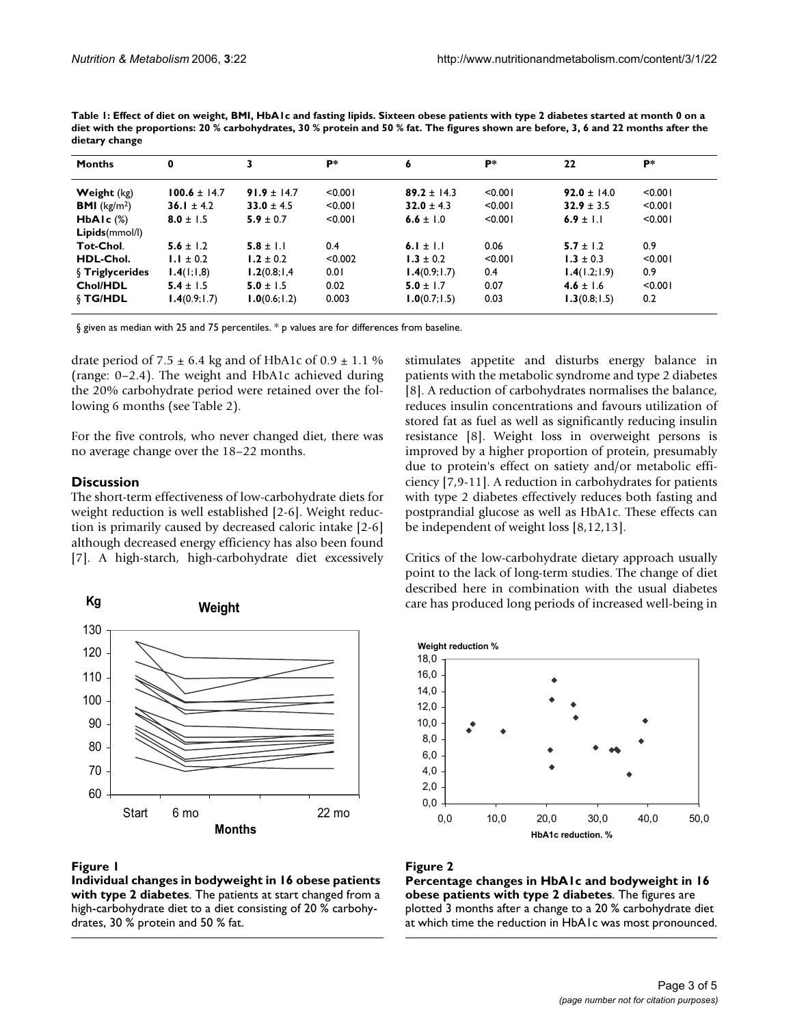| Table 1: Effect of diet on weight, BMI, HbAIc and fasting lipids. Sixteen obese patients with type 2 diabetes started at month 0 on a |
|---------------------------------------------------------------------------------------------------------------------------------------|
| diet with the proportions: 20 % carbohydrates, 30 % protein and 50 % fat. The figures shown are before, 3, 6 and 22 months after the  |
| dietary change                                                                                                                        |

| <b>Months</b>          | 0                | 3               | P*      | 6               | P*      | 22              | P*      |
|------------------------|------------------|-----------------|---------|-----------------|---------|-----------------|---------|
| <b>Weight</b> (kg)     | $100.6 \pm 14.7$ | $91.9 \pm 14.7$ | < 0.001 | $89.2 \pm 14.3$ | < 0.001 | $92.0 \pm 14.0$ | < 0.001 |
| <b>BMI</b> ( $kg/m2$ ) | 36.1 $\pm$ 4.2   | $33.0 \pm 4.5$  | < 0.001 | $32.0 \pm 4.3$  | < 0.001 | $32.9 \pm 3.5$  | < 0.001 |
| $HbA1c$ $(\%)$         | $8.0 \pm 1.5$    | $5.9 \pm 0.7$   | < 0.001 | 6.6 ± 1.0       | < 0.001 | 6.9 ± $1.1$     | < 0.001 |
| Lipids(mmol/l)         |                  |                 |         |                 |         |                 |         |
| Tot-Chol.              | $5.6 \pm 1.2$    | $5.8 \pm 1.1$   | 0.4     | 6.1 ± 1.1       | 0.06    | $5.7 \pm 1.2$   | 0.9     |
| HDL-Chol.              | $1.1 \pm 0.2$    | $1.2 \pm 0.2$   | < 0.002 | $1.3 \pm 0.2$   | < 0.001 | $1.3 \pm 0.3$   | < 0.001 |
| <b>§ Triglycerides</b> | 1.4(1;1,8)       | 1.2(0.8; 1, 4)  | 0.01    | 1.4(0.9; 1.7)   | 0.4     | 1.4(1.2;1.9)    | 0.9     |
| Chol/HDL               | $5.4 \pm 1.5$    | $5.0 \pm 1.5$   | 0.02    | 5.0 $\pm$ 1.7   | 0.07    | $4.6 \pm 1.6$   | < 0.001 |
| § TG/HDL               | 1.4(0.9; 1.7)    | 1.0(0.6; 1.2)   | 0.003   | 1.0(0.7; 1.5)   | 0.03    | 1.3(0.8; 1.5)   | 0.2     |

§ given as median with 25 and 75 percentiles. \* p values are for differences from baseline.

drate period of  $7.5 \pm 6.4$  kg and of HbA1c of  $0.9 \pm 1.1$  % (range: 0–2.4). The weight and HbA1c achieved during the 20% carbohydrate period were retained over the following 6 months (see Table 2).

For the five controls, who never changed diet, there was no average change over the 18–22 months.

#### **Discussion**

The short-term effectiveness of low-carbohydrate diets for weight reduction is well established [2-6]. Weight reduction is primarily caused by decreased caloric intake [2-6] although decreased energy efficiency has also been found [7]. A high-starch, high-carbohydrate diet excessively



#### Figure 1

**Individual changes in bodyweight in 16 obese patients with type 2 diabetes**. The patients at start changed from a high-carbohydrate diet to a diet consisting of 20 % carbohydrates, 30 % protein and 50 % fat.

stimulates appetite and disturbs energy balance in patients with the metabolic syndrome and type 2 diabetes [8]. A reduction of carbohydrates normalises the balance, reduces insulin concentrations and favours utilization of stored fat as fuel as well as significantly reducing insulin resistance [8]. Weight loss in overweight persons is improved by a higher proportion of protein, presumably due to protein's effect on satiety and/or metabolic efficiency [7,9-11]. A reduction in carbohydrates for patients with type 2 diabetes effectively reduces both fasting and postprandial glucose as well as HbA1c. These effects can be independent of weight loss [8,12,13].

Critics of the low-carbohydrate dietary approach usually point to the lack of long-term studies. The change of diet described here in combination with the usual diabetes care has produced long periods of increased well-being in



## **Figure 2**

**Percentage changes in HbA1c and bodyweight in 16 obese patients with type 2 diabetes**. The figures are plotted 3 months after a change to a 20 % carbohydrate diet at which time the reduction in HbA1c was most pronounced.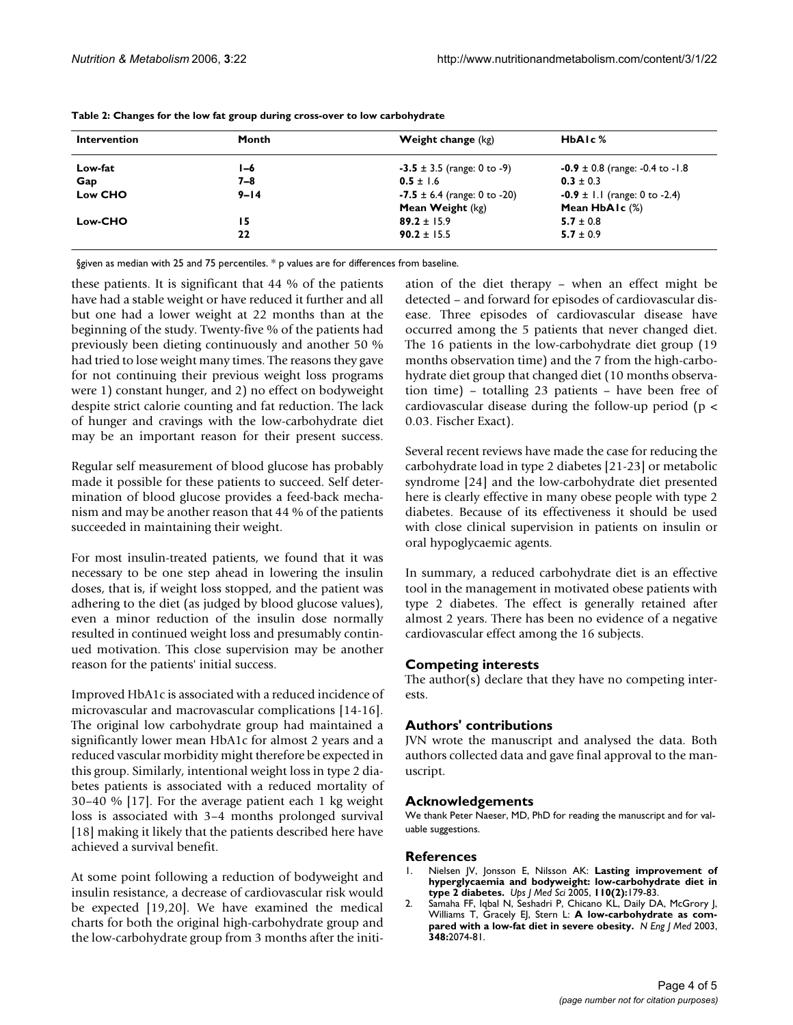| <b>Intervention</b> | Month    | <b>Weight change</b> (kg)        | HbAIc <sup>%</sup>                        |  |
|---------------------|----------|----------------------------------|-------------------------------------------|--|
| Low-fat             | I-6      | $-3.5 \pm 3.5$ (range: 0 to -9)  | $-0.9 \pm 0.8$ (range: $-0.4$ to $-1.8$ ) |  |
| Gap                 | 7–8      | $0.5 \pm 1.6$                    | $0.3 \pm 0.3$                             |  |
| Low CHO             | $9 - 14$ | $-7.5 \pm 6.4$ (range: 0 to -20) | $-0.9 \pm 1.1$ (range: 0 to -2.4)         |  |
|                     |          | Mean Weight (kg)                 | Mean $HbA1c$ (%)                          |  |
| Low-CHO             | 15       | $89.2 \pm 15.9$                  | $5.7 \pm 0.8$                             |  |
|                     | 22       | $90.2 \pm 15.5$                  | $5.7 \pm 0.9$                             |  |
|                     |          |                                  |                                           |  |

**Table 2: Changes for the low fat group during cross-over to low carbohydrate**

§given as median with 25 and 75 percentiles. \* p values are for differences from baseline.

these patients. It is significant that 44 % of the patients have had a stable weight or have reduced it further and all but one had a lower weight at 22 months than at the beginning of the study. Twenty-five % of the patients had previously been dieting continuously and another 50 % had tried to lose weight many times. The reasons they gave for not continuing their previous weight loss programs were 1) constant hunger, and 2) no effect on bodyweight despite strict calorie counting and fat reduction. The lack of hunger and cravings with the low-carbohydrate diet may be an important reason for their present success.

Regular self measurement of blood glucose has probably made it possible for these patients to succeed. Self determination of blood glucose provides a feed-back mechanism and may be another reason that 44 % of the patients succeeded in maintaining their weight.

For most insulin-treated patients, we found that it was necessary to be one step ahead in lowering the insulin doses, that is, if weight loss stopped, and the patient was adhering to the diet (as judged by blood glucose values), even a minor reduction of the insulin dose normally resulted in continued weight loss and presumably continued motivation. This close supervision may be another reason for the patients' initial success.

Improved HbA1c is associated with a reduced incidence of microvascular and macrovascular complications [14-16]. The original low carbohydrate group had maintained a significantly lower mean HbA1c for almost 2 years and a reduced vascular morbidity might therefore be expected in this group. Similarly, intentional weight loss in type 2 diabetes patients is associated with a reduced mortality of 30–40 % [17]. For the average patient each 1 kg weight loss is associated with 3–4 months prolonged survival [18] making it likely that the patients described here have achieved a survival benefit.

At some point following a reduction of bodyweight and insulin resistance, a decrease of cardiovascular risk would be expected [19,20]. We have examined the medical charts for both the original high-carbohydrate group and the low-carbohydrate group from 3 months after the initiation of the diet therapy – when an effect might be detected – and forward for episodes of cardiovascular disease. Three episodes of cardiovascular disease have occurred among the 5 patients that never changed diet. The 16 patients in the low-carbohydrate diet group (19 months observation time) and the 7 from the high-carbohydrate diet group that changed diet (10 months observation time) – totalling 23 patients – have been free of cardiovascular disease during the follow-up period ( $p <$ 0.03. Fischer Exact).

Several recent reviews have made the case for reducing the carbohydrate load in type 2 diabetes [21-23] or metabolic syndrome [24] and the low-carbohydrate diet presented here is clearly effective in many obese people with type 2 diabetes. Because of its effectiveness it should be used with close clinical supervision in patients on insulin or oral hypoglycaemic agents.

In summary, a reduced carbohydrate diet is an effective tool in the management in motivated obese patients with type 2 diabetes. The effect is generally retained after almost 2 years. There has been no evidence of a negative cardiovascular effect among the 16 subjects.

## **Competing interests**

The author(s) declare that they have no competing interests.

## **Authors' contributions**

JVN wrote the manuscript and analysed the data. Both authors collected data and gave final approval to the manuscript.

#### **Acknowledgements**

We thank Peter Naeser, MD, PhD for reading the manuscript and for valuable suggestions.

#### **References**

- 1. Nielsen JV, Jonsson E, Nilsson AK: **[Lasting improvement of](http://www.ncbi.nlm.nih.gov/entrez/query.fcgi?cmd=Retrieve&db=PubMed&dopt=Abstract&list_uids=16075898) [hyperglycaemia and bodyweight: low-carbohydrate diet in](http://www.ncbi.nlm.nih.gov/entrez/query.fcgi?cmd=Retrieve&db=PubMed&dopt=Abstract&list_uids=16075898) [type 2 diabetes.](http://www.ncbi.nlm.nih.gov/entrez/query.fcgi?cmd=Retrieve&db=PubMed&dopt=Abstract&list_uids=16075898)** *Ups J Med Sci* 2005, **110(2):**179-83.
- 2. Samaha FF, Iqbal N, Seshadri P, Chicano KL, Daily DA, McGrory J, Williams T, Gracely EJ, Stern L: **A low-carbohydrate as compared with a low-fat diet in severe obesity.** *N Eng J Med* 2003, **348:**2074-81.